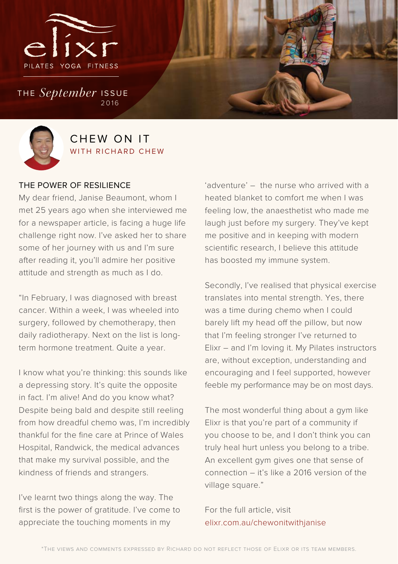

THE *September* ISSUE 2016



## CHEW ON IT WITH RICHARD CHEW

#### THE POWER OF RESILIENCE

My dear friend, Janise Beaumont, whom I met 25 years ago when she interviewed me for a newspaper article, is facing a huge life challenge right now. I've asked her to share some of her journey with us and I'm sure after reading it, you'll admire her positive attitude and strength as much as I do.

"In February, I was diagnosed with breast cancer. Within a week, I was wheeled into surgery, followed by chemotherapy, then daily radiotherapy. Next on the list is longterm hormone treatment. Quite a year.

I know what you're thinking: this sounds like a depressing story. It's quite the opposite in fact. I'm alive! And do you know what? Despite being bald and despite still reeling from how dreadful chemo was, I'm incredibly thankful for the fine care at Prince of Wales Hospital, Randwick, the medical advances that make my survival possible, and the kindness of friends and strangers.

I've learnt two things along the way. The first is the power of gratitude. I've come to appreciate the touching moments in my

'adventure' – the nurse who arrived with a heated blanket to comfort me when I was feeling low, the anaesthetist who made me laugh just before my surgery. They've kept me positive and in keeping with modern scientific research, I believe this attitude has boosted my immune system.

Secondly, I've realised that physical exercise translates into mental strength. Yes, there was a time during chemo when I could barely lift my head off the pillow, but now that I'm feeling stronger I've returned to Elixr – and I'm loving it. My Pilates instructors are, without exception, understanding and encouraging and I feel supported, however feeble my performance may be on most days.

The most wonderful thing about a gym like Elixr is that you're part of a community if you choose to be, and I don't think you can truly heal hurt unless you belong to a tribe. An excellent gym gives one that sense of connection – it's like a 2016 version of the village square."

For the full article, visit elixr.com.au/chewonitwithjanise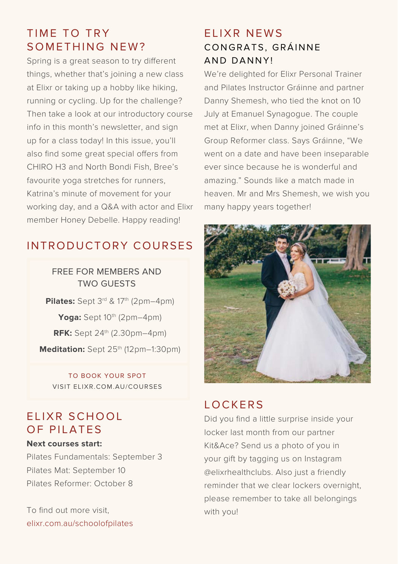## TIME TO TRY SOMETHING NEW?

Spring is a great season to try different things, whether that's joining a new class at Elixr or taking up a hobby like hiking, running or cycling. Up for the challenge? Then take a look at our introductory course info in this month's newsletter, and sign up for a class today! In this issue, you'll also find some great special offers from CHIRO H3 and North Bondi Fish, Bree's favourite yoga stretches for runners, Katrina's minute of movement for your working day, and a Q&A with actor and Elixr member Honey Debelle. Happy reading!

## INTRODUCTORY COURSES

### FREE FOR MEMBERS AND TWO GUESTS

**Pilates:** Sept 3<sup>rd</sup> & 17<sup>th</sup> (2pm–4pm) **Yoga:** Sept 10<sup>th</sup> (2pm–4pm) **RFK:** Sept 24th (2.30pm–4pm) Meditation: Sept 25<sup>th</sup> (12pm–1:30pm)

TO BOOK YOUR SPOT VISIT ELIXR.COM.AU/COURSES

## ELIXR SCHOOL OF PILATES

#### **Next courses start:**

Pilates Fundamentals: September 3 Pilates Mat: September 10 Pilates Reformer: October 8

To find out more visit, elixr.com.au/schoolofpilates

## FIJXR NFWS CONGRATS, GRÁINNE AND DANNY!

We're delighted for Elixr Personal Trainer and Pilates Instructor Gráinne and partner Danny Shemesh, who tied the knot on 10 July at Emanuel Synagogue. The couple met at Elixr, when Danny joined Gráinne's Group Reformer class. Says Gráinne, "We went on a date and have been inseparable ever since because he is wonderful and amazing." Sounds like a match made in heaven. Mr and Mrs Shemesh, we wish you many happy years together!



## LOCKERS

Did you find a little surprise inside your locker last month from our partner Kit&Ace? Send us a photo of you in your gift by tagging us on Instagram @elixrhealthclubs. Also just a friendly reminder that we clear lockers overnight, please remember to take all belongings with you!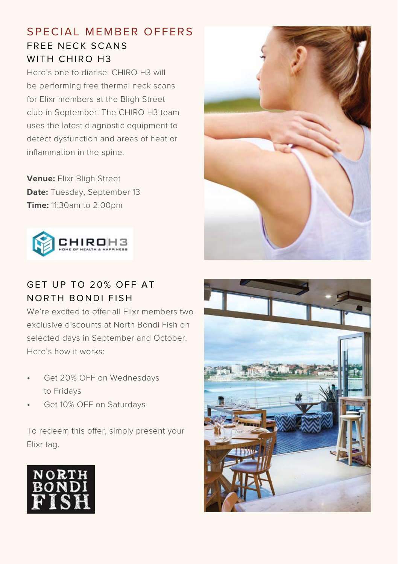## S P F C I A L M F M B F R O F F F R S FREE NECK SCANS WITH CHIRO H3

Here's one to diarise: CHIRO H3 will be performing free thermal neck scans for Elixr members at the Bligh Street club in September. The CHIRO H3 team uses the latest diagnostic equipment to detect dysfunction and areas of heat or inflammation in the spine.

**Venue:** Elixr Bligh Street **Date:** Tuesday, September 13 **Time:** 11:30am to 2:00pm



## GET UP TO 20% OFF AT **NORTH BONDI FISH**

We're excited to offer all Elixr members two exclusive discounts at North Bondi Fish on selected days in September and October. Here's how it works:

- Get 20% OFF on Wednesdays to Fridays
- Get 10% OFF on Saturdays

To redeem this offer, simply present your Elixr tag.





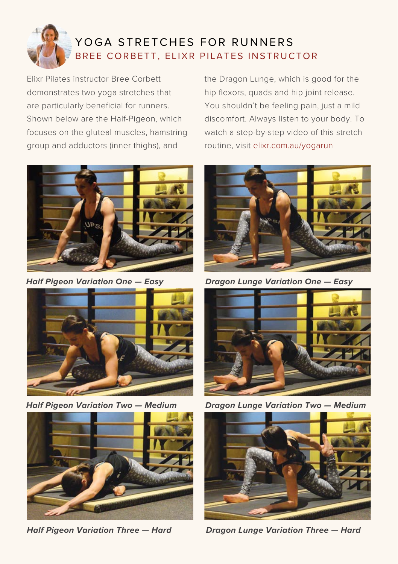

## YOGA STRETCHES FOR RUNNERS BREE CORBETT, ELIXR PILATES INSTRUCTOR

Elixr Pilates instructor Bree Corbett demonstrates two yoga stretches that are particularly beneficial for runners. Shown below are the Half-Pigeon, which focuses on the gluteal muscles, hamstring group and adductors (inner thighs), and







the Dragon Lunge, which is good for the hip flexors, quads and hip joint release. You shouldn't be feeling pain, just a mild discomfort. Always listen to your body. To watch a step-by-step video of this stretch routine, visit elixr.com.au/yogarun



**Half Pigeon Variation One — Easy Dragon Lunge Variation One — Easy**



**Half Pigeon Variation Two — Medium Dragon Lunge Variation Two — Medium**



**Half Pigeon Variation Three — Hard Dragon Lunge Variation Three — Hard**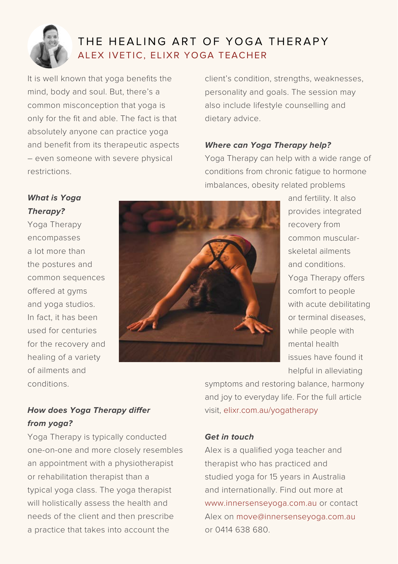

## THE HEALING ART OF YOGA THERAPY ALEX IVETIC, ELIXR YOGA TEACHER

It is well known that yoga benefits the mind, body and soul. But, there's a common misconception that yoga is only for the fit and able. The fact is that absolutely anyone can practice yoga and benefit from its therapeutic aspects – even someone with severe physical restrictions.

client's condition, strengths, weaknesses, personality and goals. The session may also include lifestyle counselling and dietary advice.

#### **Where can Yoga Therapy help?**

Yoga Therapy can help with a wide range of conditions from chronic fatigue to hormone imbalances, obesity related problems

#### **What is Yoga Therapy?**

Yoga Therapy encompasses a lot more than the postures and common sequences offered at gyms and yoga studios. In fact, it has been used for centuries for the recovery and healing of a variety of ailments and conditions.



and fertility. It also provides integrated recovery from common muscularskeletal ailments and conditions. Yoga Therapy offers comfort to people with acute debilitating or terminal diseases, while people with mental health issues have found it helpful in alleviating

### **How does Yoga Therapy differ from yoga?**

Yoga Therapy is typically conducted one-on-one and more closely resembles an appointment with a physiotherapist or rehabilitation therapist than a typical yoga class. The yoga therapist will holistically assess the health and needs of the client and then prescribe a practice that takes into account the

symptoms and restoring balance, harmony and joy to everyday life. For the full article visit, elixr.com.au/yogatherapy

#### **Get in touch**

Alex is a qualified yoga teacher and therapist who has practiced and studied yoga for 15 years in Australia and internationally. Find out more at www.innersenseyoga.com.au or contact Alex on move@innersenseyoga.com.au or 0414 638 680.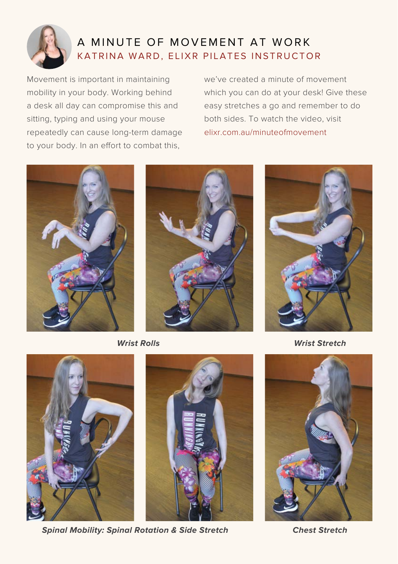

## A MINUTE OF MOVEMENT AT WORK KATRINA WARD, ELIXR PILATES INSTRUCTOR

Movement is important in maintaining mobility in your body. Working behind a desk all day can compromise this and sitting, typing and using your mouse repeatedly can cause long-term damage to your body. In an effort to combat this,

we've created a minute of movement which you can do at your desk! Give these easy stretches a go and remember to do both sides. To watch the video, visit elixr.com.au/minuteofmovement







 **Wrist Rolls Wrist Stretch** 



**Spinal Mobility: Spinal Rotation & Side Stretch**  Chest Stretch



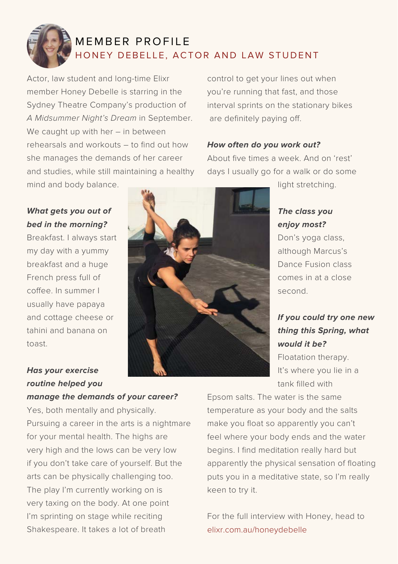

## MEMBER PROFILE HONEY DEBELLE, ACTOR AND LAW STUDENT

Actor, law student and long-time Elixr member Honey Debelle is starring in the Sydney Theatre Company's production of *A Midsummer Night's Dream* in September. We caught up with her - in between rehearsals and workouts – to find out how she manages the demands of her career and studies, while still maintaining a healthy mind and body balance.

**What gets you out of bed in the morning?**

Breakfast. I always start my day with a yummy breakfast and a huge French press full of coffee. In summer I usually have papaya and cottage cheese or tahini and banana on toast.

control to get your lines out when you're running that fast, and those interval sprints on the stationary bikes are definitely paying off.

#### **How often do you work out?**

About five times a week. And on 'rest' days I usually go for a walk or do some

light stretching.

#### **The class you enjoy most?**

Don's yoga class, although Marcus's Dance Fusion class comes in at a close second.

## **If you could try one new thing this Spring, what would it be?**

Floatation therapy. It's where you lie in a tank filled with

### **Has your exercise routine helped you manage the demands of your career?**

Yes, both mentally and physically. Pursuing a career in the arts is a nightmare for your mental health. The highs are very high and the lows can be very low if you don't take care of yourself. But the arts can be physically challenging too. The play I'm currently working on is very taxing on the body. At one point I'm sprinting on stage while reciting Shakespeare. It takes a lot of breath

Epsom salts. The water is the same temperature as your body and the salts make you float so apparently you can't feel where your body ends and the water begins. I find meditation really hard but apparently the physical sensation of floating puts you in a meditative state, so I'm really keen to try it.

For the full interview with Honey, head to elixr.com.au/honeydebelle